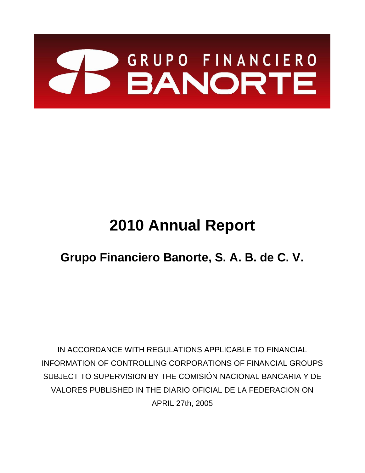

# **2010 Annual Report**

## **Grupo Financiero Banorte, S. A. B. de C. V.**

IN ACCORDANCE WITH REGULATIONS APPLICABLE TO FINANCIAL INFORMATION OF CONTROLLING CORPORATIONS OF FINANCIAL GROUPS SUBJECT TO SUPERVISION BY THE COMISIÓN NACIONAL BANCARIA Y DE VALORES PUBLISHED IN THE DIARIO OFICIAL DE LA FEDERACION ON APRIL 27th, 2005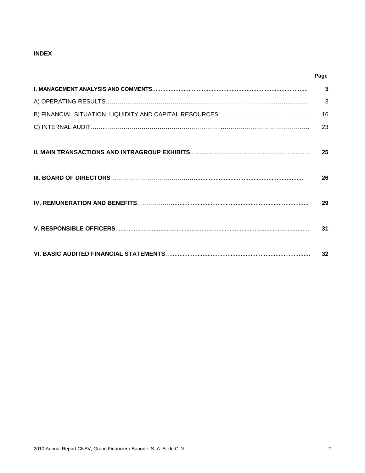## **INDEX**

| $\mathbf{3}$ |
|--------------|
| 3            |
| 16           |
| 23           |
| 25           |
| 26           |
| 29           |
| 31           |
| 32           |

**Page**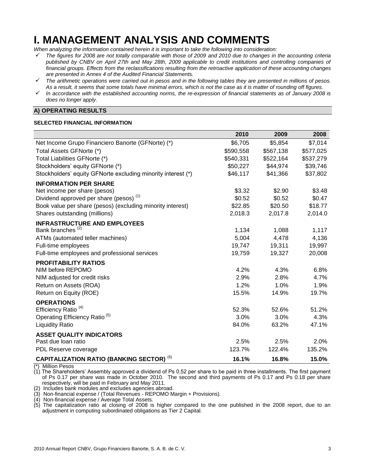## **I. MANAGEMENT ANALYSIS AND COMMENTS**

*When analyzing the information contained herein it is important to take the following into consideration:*

- *The figures for 2008 are not totally comparable with those of 2009 and 2010 due to changes in the accounting criteria published by CNBV on April 27th and May 28th, 2009 applicable to credit institutions and controlling companies of financial groups. Effects from the reclassifications resulting from the retroactive application of these accounting changes are presented in Annex 4 of the Audited Financial Statements.*
- *The arithmetic operations were carried out in pesos and in the following tables they are presented in millions of pesos. As a result, it seems that some totals have minimal errors, which is not the case as it is matter of rounding off figures.*
- *In accordance with the established accounting norms, the re-expression of financial statements as of January 2008 is does no longer apply.*

## **A) OPERATING RESULTS**

### **SELECTED FINANCIAL INFORMATION**

|                                                              | 2010      | 2009      | 2008      |
|--------------------------------------------------------------|-----------|-----------|-----------|
| Net Income Grupo Financiero Banorte (GFNorte) (*)            | \$6,705   | \$5,854   | \$7,014   |
| Total Assets GFNorte (*)                                     | \$590,558 | \$567,138 | \$577,025 |
| Total Liabilities GFNorte (*)                                | \$540,331 | \$522,164 | \$537,279 |
| Stockholders' equity GFNorte (*)                             | \$50,227  | \$44,974  | \$39,746  |
| Stockholders' equity GFNorte excluding minority interest (*) | \$46,117  | \$41,366  | \$37,802  |
| <b>INFORMATION PER SHARE</b>                                 |           |           |           |
| Net income per share (pesos)                                 | \$3.32    | \$2.90    | \$3.48    |
| Dividend approved per share (pesos) <sup>(1)</sup>           | \$0.52    | \$0.52    | \$0.47    |
| Book value per share (pesos) (excluding minority interest)   | \$22.85   | \$20.50   | \$18.77   |
| Shares outstanding (millions)                                | 2,018.3   | 2,017.8   | 2,014.0   |
| <b>INFRASTRUCTURE AND EMPLOYEES</b>                          |           |           |           |
| Bank branches <sup>(2)</sup>                                 | 1,134     | 1,088     | 1,117     |
| ATMs (automated teller machines)                             | 5,004     | 4,478     | 4,136     |
| Full-time employees                                          | 19,747    | 19,311    | 19,997    |
| Full-time employees and professional services                | 19,759    | 19,327    | 20,008    |
| <b>PROFITABILITY RATIOS</b>                                  |           |           |           |
| NIM before REPOMO                                            | 4.2%      | 4.3%      | 6.8%      |
| NIM adjusted for credit risks                                | 2.9%      | 2.8%      | 4.7%      |
| Return on Assets (ROA)                                       | 1.2%      | 1.0%      | 1.9%      |
| Return on Equity (ROE)                                       | 15.5%     | 14.9%     | 19.7%     |
| <b>OPERATIONS</b>                                            |           |           |           |
| Efficiency Ratio <sup>(4)</sup>                              | 52.3%     | 52.6%     | 51.2%     |
| Operating Efficiency Ratio <sup>(5)</sup>                    | 3.0%      | 3.0%      | 4.3%      |
| <b>Liquidity Ratio</b>                                       | 84.0%     | 63.2%     | 47.1%     |
| <b>ASSET QUALITY INDICATORS</b>                              |           |           |           |
| Past due loan ratio                                          | 2.5%      | 2.5%      | 2.0%      |
| PDL Reserve coverage                                         | 123.7%    | 122.4%    | 135.2%    |
| <b>CAPITALIZATION RATIO (BANKING SECTOR) (6)</b>             | 16.1%     | 16.8%     | 15.0%     |

**Million Pesos** 

(1) The Shareholders' Assembly approved a dividend of Ps 0.52 per share to be paid in three installments. The first payment of Ps 0.17 per share was made in October 2010. The second and third payments of Ps 0.17 and Ps 0.18 per share respectively, will be paid in February and May 2011.

(2) Includes bank modules and excludes agencies abroad.

(3) Non-financial expense / (Total Revenues - REPOMO Margin + Provisions).

(4) Non-financial expense / Average Total Assets.

(5) The capitalization ratio at closing of 2008 is higher compared to the one published in the 2008 report, due to an adjustment in computing subordinated obligations as Tier 2 Capital.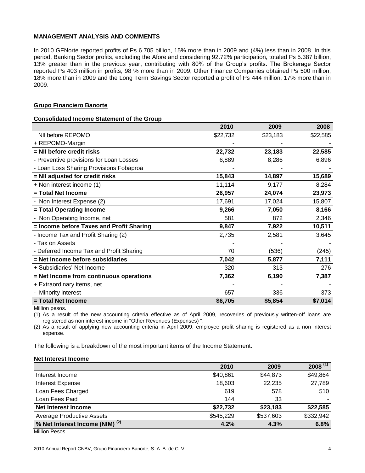## **MANAGEMENT ANALYSIS AND COMMENTS**

In 2010 GFNorte reported profits of Ps 6.705 billion, 15% more than in 2009 and (4%) less than in 2008. In this period, Banking Sector profits, excluding the Afore and considering 92.72% participation, totaled Ps 5.387 billion, 13% greater than in the previous year, contributing with 80% of the Group's profits. The Brokerage Sector reported Ps 403 million in profits, 98 % more than in 2009, Other Finance Companies obtained Ps 500 million, 18% more than in 2009 and the Long Term Savings Sector reported a profit of Ps 444 million, 17% more than in 2009.

## **Grupo Financiero Banorte**

## **Consolidated Income Statement of the Group**

|                                          | 2010     | 2009     | 2008     |
|------------------------------------------|----------|----------|----------|
| NII before REPOMO                        | \$22,732 | \$23,183 | \$22,585 |
| + REPOMO-Margin                          |          |          |          |
| = NII before credit risks                | 22,732   | 23,183   | 22,585   |
| - Preventive provisions for Loan Losses  | 6,889    | 8,286    | 6,896    |
| - Loan Loss Sharing Provisions Fobaproa  |          |          |          |
| = NII adjusted for credit risks          | 15,843   | 14,897   | 15,689   |
| + Non interest income (1)                | 11,114   | 9,177    | 8,284    |
| = Total Net Income                       | 26,957   | 24,074   | 23,973   |
| - Non Interest Expense (2)               | 17,691   | 17,024   | 15,807   |
| = Total Operating Income                 | 9,266    | 7,050    | 8,166    |
| - Non Operating Income, net              | 581      | 872      | 2,346    |
| = Income before Taxes and Profit Sharing | 9,847    | 7,922    | 10,511   |
| - Income Tax and Profit Sharing (2)      | 2,735    | 2,581    | 3,645    |
| - Tax on Assets                          |          |          |          |
| - Deferred Income Tax and Profit Sharing | 70       | (536)    | (245)    |
| = Net Income before subsidiaries         | 7,042    | 5,877    | 7,111    |
| + Subsidiaries' Net Income               | 320      | 313      | 276      |
| = Net Income from continuous operations  | 7,362    | 6,190    | 7,387    |
| + Extraordinary items, net               |          |          |          |
| Minority interest                        | 657      | 336      | 373      |
| = Total Net Income                       | \$6,705  | \$5,854  | \$7,014  |

Million pesos.

(1) As a result of the new accounting criteria effective as of April 2009, recoveries of previously written-off loans are registered as non interest income in "Other Revenues (Expenses) ".

(2) As a result of applying new accounting criteria in April 2009, employee profit sharing is registered as a non interest expense.

The following is a breakdown of the most important items of the Income Statement:

## **Net Interest Income**

|                                                       | 2010      | 2009      | $2008^{(1)}$ |
|-------------------------------------------------------|-----------|-----------|--------------|
| Interest Income                                       | \$40,861  | \$44,873  | \$49,864     |
| <b>Interest Expense</b>                               | 18,603    | 22,235    | 27,789       |
| Loan Fees Charged                                     | 619       | 578       | 510          |
| Loan Fees Paid                                        | 144       | 33        |              |
| <b>Net Interest Income</b>                            | \$22,732  | \$23,183  | \$22,585     |
| <b>Average Productive Assets</b>                      | \$545,229 | \$537,603 | \$332,942    |
| % Net Interest Income (NIM) <sup>(2)</sup><br>- ----- | 4.2%      | 4.3%      | 6.8%         |

Million Pesos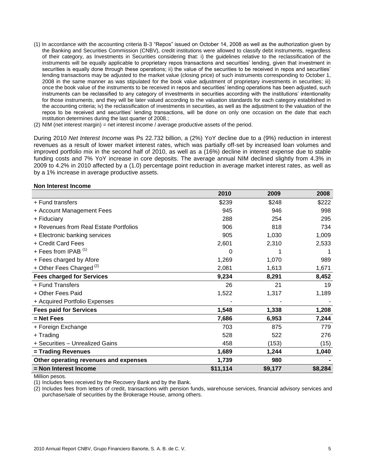- (1) In accordance with the accounting criteria B-3 "Repos" issued on October 14, 2008 as well as the authorization given by the Banking and Securities Commission (CNBV), credit institutions were allowed to classify debt instruments, regardless of their category, as Investments in Securities considering that: i) the guidelines relative to the reclassification of the instruments will be equally applicable to proprietary repos transactions and securities' lending, given that investment in securities is equally done through these operations; ii) the value of the securities to be received in repos and securities' lending transactions may be adjusted to the market value (closing price) of such instruments corresponding to October 1, 2008 in the same manner as was stipulated for the book value adjustment of proprietary investments in securities; iii) once the book value of the instruments to be received in repos and securities' lending operations has been adjusted, such instruments can be reclassified to any category of investments in securities according with the institutions' intentionality for those instruments, and they will be later valued according to the valuation standards for each category established in the accounting criteria; iv) the reclassification of investments in securities, as well as the adjustment to the valuation of the repos to be received and securities' lending transactions, will be done on only one occasion on the date that each institution determines during the last quarter of 2008.;
- (2) NIM (net interest margin) = net interest income / average productive assets of the period.

During 2010 *Net Interest Income* was Ps 22.732 billion, a (2%) YoY decline due to a (9%) reduction in interest revenues as a result of lower market interest rates, which was partially off-set by increased loan volumes and improved portfolio mix in the second half of 2010, as well as a (16%) decline in interest expense due to stable funding costs and 7% YoY increase in core deposits. The average annual NIM declined slightly from 4.3% in 2009 to 4.2% in 2010 affected by a (1.0) percentage point reduction in average market interest rates, as well as by a 1% increase in average productive assets.

### **Non Interest Income**

|                                        | 2010     | 2009    | 2008    |
|----------------------------------------|----------|---------|---------|
| + Fund transfers                       | \$239    | \$248   | \$222   |
| + Account Management Fees              | 945      | 946     | 998     |
| + Fiduciary                            | 288      | 254     | 295     |
| + Revenues from Real Estate Portfolios | 906      | 818     | 734     |
| + Electronic banking services          | 905      | 1,030   | 1,009   |
| + Credit Card Fees                     | 2,601    | 2,310   | 2,533   |
| + Fees from IPAB <sup>(1)</sup>        | 0        |         |         |
| + Fees charged by Afore                | 1,269    | 1,070   | 989     |
| + Other Fees Charged <sup>(2)</sup>    | 2,081    | 1,613   | 1,671   |
| <b>Fees charged for Services</b>       | 9,234    | 8,291   | 8,452   |
| + Fund Transfers                       | 26       | 21      | 19      |
| + Other Fees Paid                      | 1,522    | 1,317   | 1,189   |
| + Acquired Portfolio Expenses          |          |         |         |
| <b>Fees paid for Services</b>          | 1,548    | 1,338   | 1,208   |
| $=$ Net Fees                           | 7,686    | 6,953   | 7,244   |
| + Foreign Exchange                     | 703      | 875     | 779     |
| + Trading                              | 528      | 522     | 276     |
| + Securities - Unrealized Gains        | 458      | (153)   | (15)    |
| = Trading Revenues                     | 1,689    | 1,244   | 1,040   |
| Other operating revenues and expenses  | 1,739    | 980     |         |
| = Non Interest Income                  | \$11,114 | \$9,177 | \$8,284 |

Million pesos.

(1) Includes fees received by the Recovery Bank and by the Bank.

(2) Includes fees from letters of credit, transactions with pension funds, warehouse services, financial advisory services and purchase/sale of securities by the Brokerage House, among others.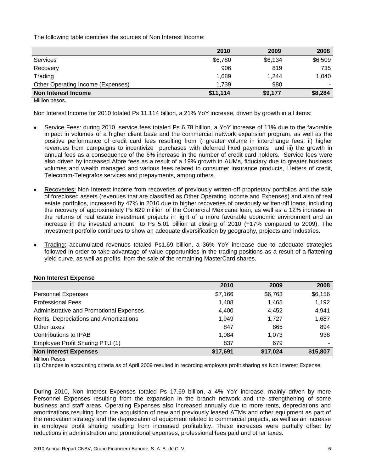The following table identifies the sources of Non Interest Income:

|                                   | 2010     | 2009    | 2008    |
|-----------------------------------|----------|---------|---------|
| Services                          | \$6,780  | \$6,134 | \$6,509 |
| Recovery                          | 906      | 819     | 735     |
| Trading                           | 1,689    | 1.244   | 1.040   |
| Other Operating Income (Expenses) | 1.739    | 980     |         |
| Non Interest Income               | \$11,114 | \$9,177 | \$8,284 |

Million pesos.

Non Interest Income for 2010 totaled Ps 11.114 billion, a 21% YoY increase, driven by growth in all items:

- Service Fees: during 2010, service fees totaled Ps 6.78 billion, a YoY increase of 11% due to the favorable impact in volumes of a higher client base and the commercial network expansion program, as well as the positive performance of credit card fees resulting from i) greater volume in interchange fees, ii) higher revenues from campaigns to incentivize purchases with deferred fixed payments and iii) the growth in annual fees as a consequence of the 6% increase in the number of credit card holders. Service fees were also driven by increased Afore fees as a result of a 19% growth in AUMs, fiduciary due to greater business volumes and wealth managed and various fees related to consumer insurance products, l letters of credit, Telecomm-Telegrafos services and prepayments, among others.
- Recoveries: Non Interest income from recoveries of previously written-off proprietary portfolios and the sale of foreclosed assets (revenues that are classified as Other Operating Income and Expenses) and also of real estate portfolios, increased by 47% in 2010 due to higher recoveries of previously written-off loans, including the recovery of approximately Ps 629 million of the Comercial Mexicana loan, as well as a 12% increase in the returns of real estate investment projects in light of a more favorable economic environment and an increase in the invested amount to Ps 5.01 billion at closing of 2010 (+17% compared to 2009). The investment portfolio continues to show an adequate diversification by geography, projects and industries.
- Trading: accumulated revenues totaled Ps1.69 billion, a 36% YoY increase due to adequate strategies followed in order to take advantage of value opportunities in the trading positions as a result of a flattening yield curve, as well as profits from the sale of the remaining MasterCard shares.

## **Non Interest Expense**

|                                         | 2010     | 2009     | 2008     |
|-----------------------------------------|----------|----------|----------|
| <b>Personnel Expenses</b>               | \$7,166  | \$6,763  | \$6,156  |
| <b>Professional Fees</b>                | 1,408    | 1,465    | 1,192    |
| Administrative and Promotional Expenses | 4,400    | 4,452    | 4,941    |
| Rents, Depreciations and Amortizations  | 1.949    | 1.727    | 1,687    |
| Other taxes                             | 847      | 865      | 894      |
| Contributions to IPAB                   | 1,084    | 1.073    | 938      |
| Employee Profit Sharing PTU (1)         | 837      | 679      |          |
| <b>Non Interest Expenses</b>            | \$17,691 | \$17,024 | \$15,807 |

Million Pesos

(1) Changes in accounting criteria as of April 2009 resulted in recording employee profit sharing as Non Interest Expense.

During 2010, Non Interest Expenses totaled Ps 17.69 billion, a 4% YoY increase, mainly driven by more Personnel Expenses resulting from the expansion in the branch network and the strengthening of some business and staff areas. Operating Expenses also increased annually due to more rents, depreciations and amortizations resulting from the acquisition of new and previously leased ATMs and other equipment as part of the renovation strategy and the depreciation of equipment related to commercial projects, as well as an increase in employee profit sharing resulting from increased profitability. These increases were partially offset by reductions in administration and promotional expenses, professional fees paid and other taxes.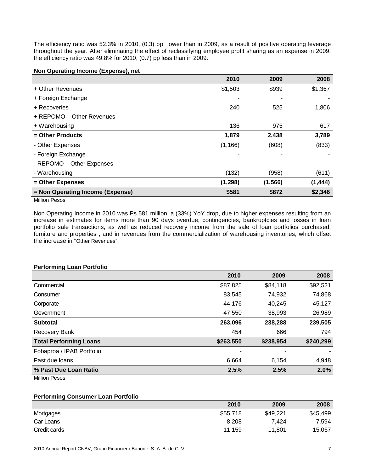The efficiency ratio was 52.3% in 2010, (0.3) pp lower than in 2009, as a result of positive operating leverage throughout the year. After eliminating the effect of reclassifying employee profit sharing as an expense in 2009, the efficiency ratio was 49.8% for 2010, (0.7) pp less than in 2009.

## **Non Operating Income (Expense), net**

|                                  | 2010     | 2009     | 2008     |
|----------------------------------|----------|----------|----------|
| + Other Revenues                 | \$1,503  | \$939    | \$1,367  |
| + Foreign Exchange               |          |          |          |
| + Recoveries                     | 240      | 525      | 1,806    |
| + REPOMO - Other Revenues        |          |          |          |
| + Warehousing                    | 136      | 975      | 617      |
| = Other Products                 | 1,879    | 2,438    | 3,789    |
| - Other Expenses                 | (1, 166) | (608)    | (833)    |
| - Foreign Exchange               |          |          |          |
| - REPOMO - Other Expenses        |          |          |          |
| - Warehousing                    | (132)    | (958)    | (611)    |
| = Other Expenses                 | (1, 298) | (1, 566) | (1, 444) |
| = Non Operating Income (Expense) | \$581    | \$872    | \$2,346  |

Million Pesos

Non Operating Income in 2010 was Ps 581 million, a (33%) YoY drop, due to higher expenses resulting from an increase in estimates for items more than 90 days overdue, contingencies, bankruptcies and losses in loan portfolio sale transactions, as well as reduced recovery income from the sale of loan portfolios purchased, furniture and properties , and in revenues from the commercialization of warehousing inventories, which offset the increase in "Other Revenues".

## **Performing Loan Portfolio**

|                               | 2010      | 2009      | 2008      |
|-------------------------------|-----------|-----------|-----------|
| Commercial                    | \$87,825  | \$84,118  | \$92,521  |
| Consumer                      | 83,545    | 74,932    | 74,868    |
| Corporate                     | 44,176    | 40,245    | 45,127    |
| Government                    | 47,550    | 38,993    | 26,989    |
| <b>Subtotal</b>               | 263,096   | 238,288   | 239,505   |
| Recovery Bank                 | 454       | 666       | 794       |
| <b>Total Performing Loans</b> | \$263,550 | \$238,954 | \$240,299 |
| Fobaproa / IPAB Portfolio     |           |           |           |
| Past due loans                | 6,664     | 6,154     | 4,948     |
| % Past Due Loan Ratio         | 2.5%      | 2.5%      | 2.0%      |

Million Pesos

#### **Performing Consumer Loan Portfolio**

|              | 2010     | 2009     | 2008     |
|--------------|----------|----------|----------|
| Mortgages    | \$55,718 | \$49.221 | \$45,499 |
| Car Loans    | 8.208    | 7.424    | 7,594    |
| Credit cards | 11.159   | 11.801   | 15.067   |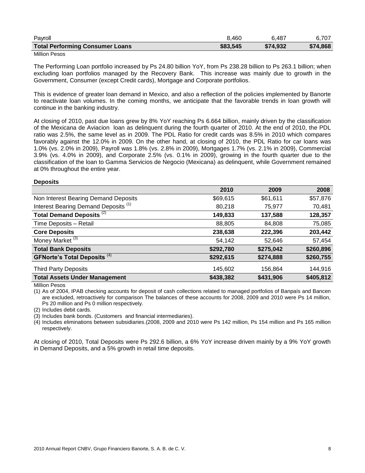| Payroll                                | 8.460    | 6.487    | 6.707    |
|----------------------------------------|----------|----------|----------|
| <b>Total Performing Consumer Loans</b> | \$83,545 | \$74,932 | \$74,868 |

## Million Pesos

The Performing Loan portfolio increased by Ps 24.80 billion YoY, from Ps 238.28 billion to Ps 263.1 billion; when excluding loan portfolios managed by the Recovery Bank. This increase was mainly due to growth in the Government, Consumer (except Credit cards), Mortgage and Corporate portfolios.

This is evidence of greater loan demand in Mexico, and also a reflection of the policies implemented by Banorte to reactivate loan volumes. In the coming months, we anticipate that the favorable trends in loan growth will continue in the banking industry.

At closing of 2010, past due loans grew by 8% YoY reaching Ps 6.664 billion, mainly driven by the classification of the Mexicana de Aviacion loan as delinquent during the fourth quarter of 2010. At the end of 2010, the PDL ratio was 2.5%, the same level as in 2009. The PDL Ratio for credit cards was 8.5% in 2010 which compares favorably against the 12.0% in 2009. On the other hand, at closing of 2010, the PDL Ratio for car loans was 1.0% (vs. 2.0% in 2009), Payroll was 1.8% (vs. 2.8% in 2009), Mortgages 1.7% (vs. 2.1% in 2009), Commercial 3.9% (vs. 4.0% in 2009), and Corporate 2.5% (vs. 0.1% in 2009), growing in the fourth quarter due to the classification of the loan to Gamma Servicios de Negocio (Mexicana) as delinquent, while Government remained at 0% throughout the entire year.

### **Deposits**

|                                                 | 2010      | 2009      | 2008      |
|-------------------------------------------------|-----------|-----------|-----------|
| Non Interest Bearing Demand Deposits            | \$69,615  | \$61,611  | \$57,876  |
| Interest Bearing Demand Deposits <sup>(1)</sup> | 80,218    | 75,977    | 70,481    |
| Total Demand Deposits <sup>(2)</sup>            | 149,833   | 137,588   | 128,357   |
| Time Deposits - Retail                          | 88,805    | 84,808    | 75,085    |
| <b>Core Deposits</b>                            | 238,638   | 222,396   | 203,442   |
| Money Market <sup>(3)</sup>                     | 54,142    | 52,646    | 57,454    |
| <b>Total Bank Deposits</b>                      | \$292,780 | \$275,042 | \$260,896 |
| <b>GFNorte's Total Deposits (4)</b>             | \$292,615 | \$274,888 | \$260,755 |
| <b>Third Party Deposits</b>                     | 145,602   | 156,864   | 144,916   |
| <b>Total Assets Under Management</b>            | \$438,382 | \$431,906 | \$405,812 |

Million Pesos

(1) As of 2004, IPAB checking accounts for deposit of cash collections related to managed portfolios of Banpaís and Bancen are excluded, retroactively for comparison The balances of these accounts for 2008, 2009 and 2010 were Ps 14 million, Ps 20 million and Ps 0 million respectively.

(2) Includes debit cards.

(3) Includes bank bonds. (Customers and financial intermediaries).

(4) Includes eliminations between subsidiaries.(2008, 2009 and 2010 were Ps 142 million, Ps 154 million and Ps 165 million respectively.

At closing of 2010, Total Deposits were Ps 292.6 billion, a 6% YoY increase driven mainly by a 9% YoY growth in Demand Deposits, and a 5% growth in retail time deposits.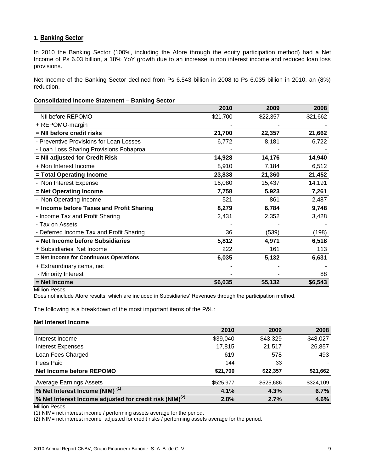## **1. Banking Sector**

In 2010 the Banking Sector (100%, including the Afore through the equity participation method) had a Net Income of Ps 6.03 billion, a 18% YoY growth due to an increase in non interest income and reduced loan loss provisions.

Net Income of the Banking Sector declined from Ps 6.543 billion in 2008 to Ps 6.035 billion in 2010, an (8%) reduction.

### **Consolidated Income Statement – Banking Sector**

|                                          | 2010     | 2009     | 2008     |
|------------------------------------------|----------|----------|----------|
| NII before REPOMO                        | \$21,700 | \$22,357 | \$21,662 |
| + REPOMO-margin                          |          |          |          |
| = NII before credit risks                | 21,700   | 22,357   | 21,662   |
| - Preventive Provisions for Loan Losses  | 6,772    | 8,181    | 6,722    |
| - Loan Loss Sharing Provisions Fobaproa  |          |          |          |
| = NII adjusted for Credit Risk           | 14,928   | 14,176   | 14,940   |
| + Non Interest Income                    | 8,910    | 7,184    | 6,512    |
| = Total Operating Income                 | 23,838   | 21,360   | 21,452   |
| - Non Interest Expense                   | 16,080   | 15,437   | 14,191   |
| = Net Operating Income                   | 7,758    | 5,923    | 7,261    |
| - Non Operating Income                   | 521      | 861      | 2,487    |
| = Income before Taxes and Profit Sharing | 8,279    | 6,784    | 9,748    |
| - Income Tax and Profit Sharing          | 2,431    | 2,352    | 3,428    |
| - Tax on Assets                          |          |          |          |
| - Deferred Income Tax and Profit Sharing | 36       | (539)    | (198)    |
| = Net Income before Subsidiaries         | 5,812    | 4,971    | 6,518    |
| + Subsidiaries' Net Income               | 222      | 161      | 113      |
| = Net Income for Continuous Operations   | 6,035    | 5,132    | 6,631    |
| + Extraordinary items, net               |          |          |          |
| - Minority Interest                      |          |          | 88       |
| = Net Income                             | \$6,035  | \$5,132  | \$6,543  |

Million Pesos

Does not include Afore results, which are included in Subsidiaries' Revenues through the participation method.

The following is a breakdown of the most important items of the P&L:

## **Net Interest Income**

|                                                                     | 2010      | 2009      | 2008      |
|---------------------------------------------------------------------|-----------|-----------|-----------|
| Interest Income                                                     | \$39,040  | \$43,329  | \$48,027  |
| <b>Interest Expenses</b>                                            | 17,815    | 21,517    | 26,857    |
| Loan Fees Charged                                                   | 619       | 578       | 493       |
| <b>Fees Paid</b>                                                    | 144       | 33        |           |
| Net Income before REPOMO                                            | \$21,700  | \$22,357  | \$21,662  |
| <b>Average Earnings Assets</b>                                      | \$525,977 | \$525,686 | \$324,109 |
| % Net Interest Income (NIM) <sup>(1)</sup>                          | 4.1%      | 4.3%      | 6.7%      |
| % Net Interest Income adjusted for credit risk (NIM) <sup>(2)</sup> | 2.8%      | 2.7%      | 4.6%      |

Million Pesos

(1) NIM= net interest income / performing assets average for the period.

(2) NIM= net interest income adjusted for credit risks / performing assets average for the period.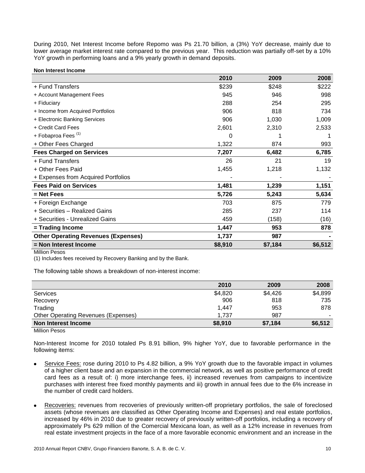During 2010, Net Interest Income before Repomo was Ps 21.70 billion, a (3%) YoY decrease, mainly due to lower average market interest rate compared to the previous year. This reduction was partially off-set by a 10% YoY growth in performing loans and a 9% yearly growth in demand deposits.

**Non Interest Income**

| \$248<br>+ Fund Transfers<br>\$239<br>945<br>946<br>+ Account Management Fees<br>288<br>254<br>+ Fiduciary<br>906<br>818<br>+ Income from Acquired Portfolios<br>906<br>1,030<br>+ Electronic Banking Services<br>+ Credit Card Fees<br>2,601<br>2,310<br>+ Fobaproa Fees <sup>(1)</sup><br>0<br>+ Other Fees Charged<br>1,322<br>874<br><b>Fees Charged on Services</b><br>7,207<br>6,482<br>+ Fund Transfers<br>26<br>21<br>1,455<br>1,218<br>+ Other Fees Paid<br>+ Expenses from Acquired Portfolios<br><b>Fees Paid on Services</b><br>1,481<br>1,239<br>5,726<br>5,243<br>= Net Fees<br>703<br>875<br>+ Foreign Exchange<br>+ Securities - Realized Gains<br>285<br>237<br>+ Securities - Unrealized Gains<br>459<br>(158)<br>1,447<br>953<br>= Trading Income<br>1,737<br><b>Other Operating Revenues (Expenses)</b><br>987 |                       | 2010    | 2009    | 2008    |
|------------------------------------------------------------------------------------------------------------------------------------------------------------------------------------------------------------------------------------------------------------------------------------------------------------------------------------------------------------------------------------------------------------------------------------------------------------------------------------------------------------------------------------------------------------------------------------------------------------------------------------------------------------------------------------------------------------------------------------------------------------------------------------------------------------------------------------|-----------------------|---------|---------|---------|
|                                                                                                                                                                                                                                                                                                                                                                                                                                                                                                                                                                                                                                                                                                                                                                                                                                    |                       |         |         | \$222   |
|                                                                                                                                                                                                                                                                                                                                                                                                                                                                                                                                                                                                                                                                                                                                                                                                                                    |                       |         |         | 998     |
|                                                                                                                                                                                                                                                                                                                                                                                                                                                                                                                                                                                                                                                                                                                                                                                                                                    |                       |         |         | 295     |
|                                                                                                                                                                                                                                                                                                                                                                                                                                                                                                                                                                                                                                                                                                                                                                                                                                    |                       |         |         | 734     |
|                                                                                                                                                                                                                                                                                                                                                                                                                                                                                                                                                                                                                                                                                                                                                                                                                                    |                       |         |         | 1,009   |
|                                                                                                                                                                                                                                                                                                                                                                                                                                                                                                                                                                                                                                                                                                                                                                                                                                    |                       |         |         | 2,533   |
|                                                                                                                                                                                                                                                                                                                                                                                                                                                                                                                                                                                                                                                                                                                                                                                                                                    |                       |         |         |         |
|                                                                                                                                                                                                                                                                                                                                                                                                                                                                                                                                                                                                                                                                                                                                                                                                                                    |                       |         |         | 993     |
|                                                                                                                                                                                                                                                                                                                                                                                                                                                                                                                                                                                                                                                                                                                                                                                                                                    |                       |         |         | 6,785   |
|                                                                                                                                                                                                                                                                                                                                                                                                                                                                                                                                                                                                                                                                                                                                                                                                                                    |                       |         |         | 19      |
|                                                                                                                                                                                                                                                                                                                                                                                                                                                                                                                                                                                                                                                                                                                                                                                                                                    |                       |         |         | 1,132   |
|                                                                                                                                                                                                                                                                                                                                                                                                                                                                                                                                                                                                                                                                                                                                                                                                                                    |                       |         |         |         |
|                                                                                                                                                                                                                                                                                                                                                                                                                                                                                                                                                                                                                                                                                                                                                                                                                                    |                       |         |         | 1,151   |
|                                                                                                                                                                                                                                                                                                                                                                                                                                                                                                                                                                                                                                                                                                                                                                                                                                    |                       |         |         | 5,634   |
|                                                                                                                                                                                                                                                                                                                                                                                                                                                                                                                                                                                                                                                                                                                                                                                                                                    |                       |         |         | 779     |
|                                                                                                                                                                                                                                                                                                                                                                                                                                                                                                                                                                                                                                                                                                                                                                                                                                    |                       |         |         | 114     |
|                                                                                                                                                                                                                                                                                                                                                                                                                                                                                                                                                                                                                                                                                                                                                                                                                                    |                       |         |         | (16)    |
|                                                                                                                                                                                                                                                                                                                                                                                                                                                                                                                                                                                                                                                                                                                                                                                                                                    |                       |         |         | 878     |
|                                                                                                                                                                                                                                                                                                                                                                                                                                                                                                                                                                                                                                                                                                                                                                                                                                    |                       |         |         |         |
|                                                                                                                                                                                                                                                                                                                                                                                                                                                                                                                                                                                                                                                                                                                                                                                                                                    | = Non Interest Income | \$8,910 | \$7,184 | \$6,512 |

Million Pesos

(1) Includes fees received by Recovery Banking and by the Bank.

The following table shows a breakdown of non-interest income:

|                                            | 2010    | 2009    | 2008    |
|--------------------------------------------|---------|---------|---------|
| Services                                   | \$4,820 | \$4,426 | \$4,899 |
| Recovery                                   | 906     | 818     | 735     |
| Trading                                    | 1.447   | 953     | 878     |
| <b>Other Operating Revenues (Expenses)</b> | 1.737   | 987     |         |
| Non Interest Income                        | \$8,910 | \$7,184 | \$6,512 |
| .<br>-                                     |         |         |         |

Million Pesos

Non-Interest Income for 2010 totaled Ps 8.91 billion, 9% higher YoY, due to favorable performance in the following items:

- Service Fees: rose during 2010 to Ps 4.82 billion, a 9% YoY growth due to the favorable impact in volumes of a higher client base and an expansion in the commercial network, as well as positive performance of credit card fees as a result of: i) more interchange fees, ii) increased revenues from campaigns to incentivize purchases with interest free fixed monthly payments and iii) growth in annual fees due to the 6% increase in the number of credit card holders.
- Recoveries: revenues from recoveries of previously written-off proprietary portfolios, the sale of foreclosed assets (whose revenues are classified as Other Operating Income and Expenses) and real estate portfolios, increased by 46% in 2010 due to greater recovery of previously written-off portfolios, including a recovery of approximately Ps 629 million of the Comercial Mexicana loan, as well as a 12% increase in revenues from real estate investment projects in the face of a more favorable economic environment and an increase in the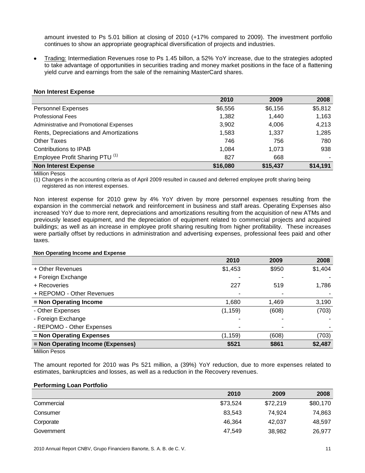amount invested to Ps 5.01 billion at closing of 2010 (+17% compared to 2009). The investment portfolio continues to show an appropriate geographical diversification of projects and industries.

Trading: Intermediation Revenues rose to Ps 1.45 billon, a 52% YoY increase, due to the strategies adopted to take advantage of opportunities in securities trading and money market positions in the face of a flattening yield curve and earnings from the sale of the remaining MasterCard shares.

| $11011$ $11101031$ $1200130$               |          |          |          |
|--------------------------------------------|----------|----------|----------|
|                                            | 2010     | 2009     | 2008     |
| <b>Personnel Expenses</b>                  | \$6,556  | \$6,156  | \$5,812  |
| <b>Professional Fees</b>                   | 1,382    | 1.440    | 1,163    |
| Administrative and Promotional Expenses    | 3,902    | 4,006    | 4,213    |
| Rents, Depreciations and Amortizations     | 1,583    | 1,337    | 1,285    |
| <b>Other Taxes</b>                         | 746      | 756      | 780      |
| Contributions to IPAB                      | 1,084    | 1.073    | 938      |
| Employee Profit Sharing PTU <sup>(1)</sup> | 827      | 668      |          |
| <b>Non Interest Expense</b>                | \$16,080 | \$15,437 | \$14,191 |

## **Non Interest Expense**

Million Pesos

(1) Changes in the accounting criteria as of April 2009 resulted in caused and deferred employee profit sharing being registered as non interest expenses.

Non interest expense for 2010 grew by 4% YoY driven by more personnel expenses resulting from the expansion in the commercial network and reinforcement in business and staff areas. Operating Expenses also increased YoY due to more rent, depreciations and amortizations resulting from the acquisition of new ATMs and previously leased equipment, and the depreciation of equipment related to commercial projects and acquired buildings; as well as an increase in employee profit sharing resulting from higher profitability. These increases were partially offset by reductions in administration and advertising expenses, professional fees paid and other taxes.

## **Non Operating Income and Expense**

|                                   | 2010     | 2009  | 2008    |
|-----------------------------------|----------|-------|---------|
| + Other Revenues                  | \$1,453  | \$950 | \$1,404 |
| + Foreign Exchange                |          |       |         |
| + Recoveries                      | 227      | 519   | 1,786   |
| + REPOMO - Other Revenues         |          |       |         |
| = Non Operating Income            | 1,680    | 1,469 | 3,190   |
| - Other Expenses                  | (1, 159) | (608) | (703)   |
| - Foreign Exchange                |          |       |         |
| - REPOMO - Other Expenses         | ۰        |       |         |
| = Non Operating Expenses          | (1, 159) | (608) | (703)   |
| = Non Operating Income (Expenses) | \$521    | \$861 | \$2,487 |
| Millian Donon                     |          |       |         |

Million Pesos

The amount reported for 2010 was Ps 521 million, a (39%) YoY reduction, due to more expenses related to estimates, bankruptcies and losses, as well as a reduction in the Recovery revenues.

## **Performing Loan Portfolio**

|            | 2010     | 2009     | 2008     |
|------------|----------|----------|----------|
| Commercial | \$73,524 | \$72,219 | \$80,170 |
| Consumer   | 83,543   | 74.924   | 74,863   |
| Corporate  | 46,364   | 42.037   | 48,597   |
| Government | 47,549   | 38,982   | 26,977   |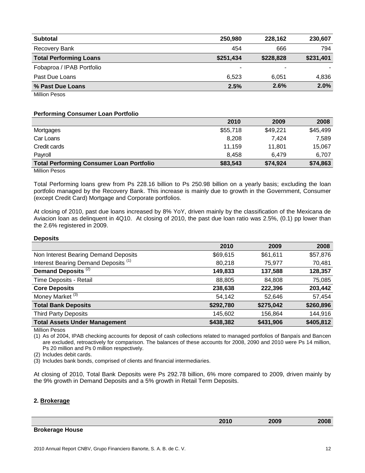| <b>Subtotal</b>               | 250,980   | 228.162   | 230.607   |
|-------------------------------|-----------|-----------|-----------|
| Recovery Bank                 | 454       | 666       | 794       |
| <b>Total Performing Loans</b> | \$251,434 | \$228,828 | \$231,401 |
| Fobaproa / IPAB Portfolio     |           |           |           |
| Past Due Loans                | 6.523     | 6.051     | 4.836     |
| % Past Due Loans              | 2.5%      | 2.6%      | 2.0%      |
| <b>Million Pesos</b>          |           |           |           |

### **Performing Consumer Loan Portfolio**

|                                                 | 2010     | 2009     | 2008     |
|-------------------------------------------------|----------|----------|----------|
| Mortgages                                       | \$55,718 | \$49,221 | \$45,499 |
| Car Loans                                       | 8,208    | 7.424    | 7,589    |
| Credit cards                                    | 11,159   | 11.801   | 15,067   |
| Payroll                                         | 8.458    | 6.479    | 6.707    |
| <b>Total Performing Consumer Loan Portfolio</b> | \$83,543 | \$74,924 | \$74,863 |

Million Pesos

Total Performing loans grew from Ps 228.16 billion to Ps 250.98 billion on a yearly basis; excluding the loan portfolio managed by the Recovery Bank. This increase is mainly due to growth in the Government, Consumer (except Credit Card) Mortgage and Corporate portfolios.

At closing of 2010, past due loans increased by 8% YoY, driven mainly by the classification of the Mexicana de Aviacion loan as delinquent in 4Q10. At closing of 2010, the past due loan ratio was 2.5%, (0.1) pp lower than the 2.6% registered in 2009.

#### **Deposits**

|                                                 | 2010      | 2009      | 2008      |
|-------------------------------------------------|-----------|-----------|-----------|
| Non Interest Bearing Demand Deposits            | \$69,615  | \$61,611  | \$57,876  |
| Interest Bearing Demand Deposits <sup>(1)</sup> | 80,218    | 75,977    | 70,481    |
| Demand Deposits <sup>(2)</sup>                  | 149,833   | 137,588   | 128,357   |
| Time Deposits - Retail                          | 88,805    | 84,808    | 75,085    |
| <b>Core Deposits</b>                            | 238,638   | 222,396   | 203,442   |
| Money Market <sup>(3)</sup>                     | 54,142    | 52,646    | 57,454    |
| <b>Total Bank Deposits</b>                      | \$292,780 | \$275,042 | \$260,896 |
| <b>Third Party Deposits</b>                     | 145,602   | 156,864   | 144,916   |
| <b>Total Assets Under Management</b>            | \$438,382 | \$431,906 | \$405,812 |

Million Pesos

(1) As of 2004, IPAB checking accounts for deposit of cash collections related to managed portfolios of Banpaís and Bancen are excluded, retroactively for comparison. The balances of these accounts for 2008, 2090 and 2010 were Ps 14 million, Ps 20 million and Ps 0 million respectively.

(2) Includes debit cards.

(3) Includes bank bonds, comprised of clients and financial intermediaries.

At closing of 2010, Total Bank Deposits were Ps 292.78 billion, 6% more compared to 2009, driven mainly by the 9% growth in Demand Deposits and a 5% growth in Retail Term Deposits.

## **2. Brokerage**

| 2010 | 2009 | 2008 |
|------|------|------|
|      |      |      |

## **Brokerage House**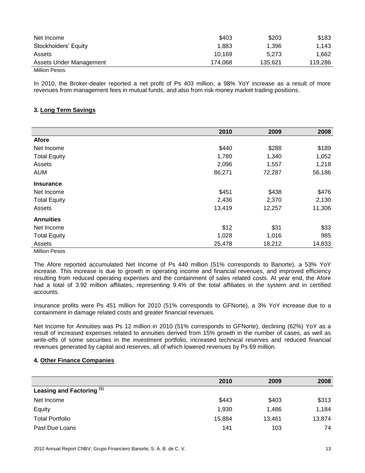| Net Income              | \$403   | \$203   | \$183   |
|-------------------------|---------|---------|---------|
| Stockholders' Equity    | 1,883   | 1,396   | 1,143   |
| Assets                  | 10.169  | 5.273   | 1.662   |
| Assets Under Management | 174.068 | 135.621 | 119,286 |
| Million Pesos           |         |         |         |

In 2010, the Broker-dealer reported a net profit of Ps 403 million, a 98% YoY increase as a result of more revenues from management fees in mutual funds, and also from risk money market trading positions.

## **3. Long Term Savings**

|                     | 2010   | 2009   | 2008   |
|---------------------|--------|--------|--------|
| Afore               |        |        |        |
| Net Income          | \$440  | \$288  | \$189  |
| <b>Total Equity</b> | 1,780  | 1,340  | 1,052  |
| Assets              | 2,096  | 1,557  | 1,218  |
| <b>AUM</b>          | 86,271 | 72,287 | 56,186 |
| <b>Insurance</b>    |        |        |        |
| Net Income          | \$451  | \$438  | \$476  |
| <b>Total Equity</b> | 2,436  | 2,370  | 2,130  |
| Assets              | 13,419 | 12,257 | 11,306 |
| <b>Annuities</b>    |        |        |        |
| Net Income          | \$12   | \$31   | \$33   |
| <b>Total Equity</b> | 1,028  | 1,016  | 985    |
| Assets              | 25,478 | 18,212 | 14,833 |
| Million Pesos       |        |        |        |

The Afore reported accumulated Net Income of Ps 440 million (51% corresponds to Banorte), a 53% YoY increase. This increase is due to growth in operating income and financial revenues, and improved efficiency resulting from reduced operating expenses and the containment of sales related costs. At year end, the Afore had a total of 3.92 million affiliates, representing 9.4% of the total affiliates in the system and in certified accounts.

Insurance profits were Ps 451 million for 2010 (51% corresponds to GFNorte), a 3% YoY increase due to a containment in damage related costs and greater financial revenues.

Net Income for Annuities was Ps 12 million in 2010 (51% corresponds to GFNorte), declining (62%) YoY as a result of increased expenses related to annuities derived from 15% growth in the number of cases, as well as write-offs of some securities in the investment portfolio, increased technical reserves and reduced financial revenues generated by capital and reserves, all of which lowered revenues by Ps 69 million.

## **4. Other Finance Companies**

|                           | 2010   | 2009   | 2008   |
|---------------------------|--------|--------|--------|
| Leasing and Factoring (1) |        |        |        |
| Net Income                | \$443  | \$403  | \$313  |
| Equity                    | 1,930  | 1,486  | 1,184  |
| <b>Total Portfolio</b>    | 15,884 | 13,461 | 13,874 |
| Past Due Loans            | 141    | 103    | 74     |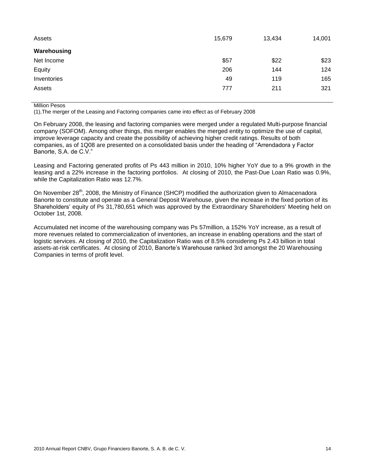| Assets      | 15,679 | 13,434 | 14,001 |
|-------------|--------|--------|--------|
| Warehousing |        |        |        |
| Net Income  | \$57   | \$22   | \$23   |
| Equity      | 206    | 144    | 124    |
| Inventories | 49     | 119    | 165    |
| Assets      | 777    | 211    | 321    |

Million Pesos

(1),The merger of the Leasing and Factoring companies came into effect as of February 2008

On February 2008, the leasing and factoring companies were merged under a regulated Multi-purpose financial company (SOFOM). Among other things, this merger enables the merged entity to optimize the use of capital, improve leverage capacity and create the possibility of achieving higher credit ratings. Results of both companies, as of 1Q08 are presented on a consolidated basis under the heading of "Arrendadora y Factor Banorte, S.A. de C.V."

Leasing and Factoring generated profits of Ps 443 million in 2010, 10% higher YoY due to a 9% growth in the leasing and a 22% increase in the factoring portfolios. At closing of 2010, the Past-Due Loan Ratio was 0.9%, while the Capitalization Ratio was 12.7%.

On November 28<sup>th</sup>, 2008, the Ministry of Finance (SHCP) modified the authorization given to Almacenadora Banorte to constitute and operate as a General Deposit Warehouse, given the increase in the fixed portion of its Shareholders' equity of Ps 31,780,651 which was approved by the Extraordinary Shareholders' Meeting held on October 1st, 2008.

Accumulated net income of the warehousing company was Ps 57million, a 152% YoY increase, as a result of more revenues related to commercialization of inventories, an increase in enabling operations and the start of logistic services. At closing of 2010, the Capitalization Ratio was of 8.5% considering Ps 2.43 billion in total assets-at-risk certificates. At closing of 2010, Banorte's Warehouse ranked 3rd amongst the 20 Warehousing Companies in terms of profit level.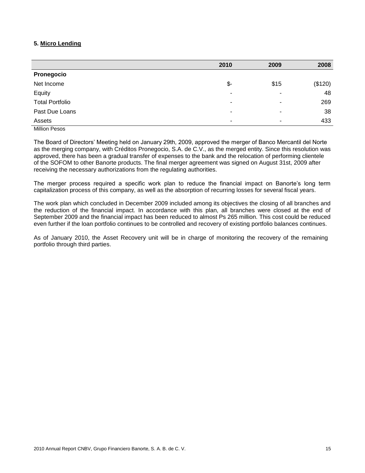## **5. Micro Lending**

|                        | 2010 | 2009                     | 2008    |
|------------------------|------|--------------------------|---------|
| Pronegocio             |      |                          |         |
| Net Income             | \$-  | \$15                     | (\$120) |
| Equity                 | ٠    |                          | 48      |
| <b>Total Portfolio</b> | ۰    | $\overline{\phantom{a}}$ | 269     |
| Past Due Loans         | ۰    | $\overline{\phantom{a}}$ | 38      |
| Assets                 | ۰    |                          | 433     |
|                        |      |                          |         |

Million Pesos

The Board of Directors' Meeting held on January 29th, 2009, approved the merger of Banco Mercantil del Norte as the merging company, with Créditos Pronegocio, S.A. de C.V., as the merged entity. Since this resolution was approved, there has been a gradual transfer of expenses to the bank and the relocation of performing clientele of the SOFOM to other Banorte products. The final merger agreement was signed on August 31st, 2009 after receiving the necessary authorizations from the regulating authorities.

The merger process required a specific work plan to reduce the financial impact on Banorte's long term capitalization process of this company, as well as the absorption of recurring losses for several fiscal years.

The work plan which concluded in December 2009 included among its objectives the closing of all branches and the reduction of the financial impact. In accordance with this plan, all branches were closed at the end of September 2009 and the financial impact has been reduced to almost Ps 265 million. This cost could be reduced even further if the loan portfolio continues to be controlled and recovery of existing portfolio balances continues.

As of January 2010, the Asset Recovery unit will be in charge of monitoring the recovery of the remaining portfolio through third parties.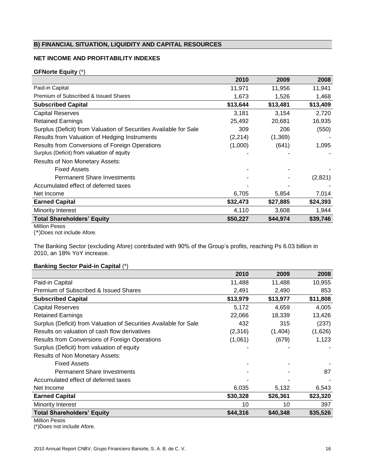## **B) FINANCIAL SITUATION, LIQUIDITY AND CAPITAL RESOURCES**

## **NET INCOME AND PROFITABILITY INDEXES**

## **GFNorte Equity** (\*)

|                                                                   | 2010     | 2009     | 2008     |
|-------------------------------------------------------------------|----------|----------|----------|
| Paid-in Capital                                                   | 11,971   | 11,956   | 11,941   |
| Premium of Subscribed & Issued Shares                             | 1,673    | 1,526    | 1,468    |
| <b>Subscribed Capital</b>                                         | \$13,644 | \$13,481 | \$13,409 |
| <b>Capital Reserves</b>                                           | 3,181    | 3,154    | 2,720    |
| <b>Retained Earnings</b>                                          | 25,492   | 20.681   | 16,935   |
| Surplus (Deficit) from Valuation of Securities Available for Sale | 309      | 206      | (550)    |
| Results from Valuation of Hedging Instruments                     | (2, 214) | (1,369)  |          |
| Results from Conversions of Foreign Operations                    | (1,000)  | (641)    | 1,095    |
| Surplus (Deficit) from valuation of equity                        |          |          |          |
| <b>Results of Non Monetary Assets:</b>                            |          |          |          |
| <b>Fixed Assets</b>                                               |          |          |          |
| <b>Permanent Share Investments</b>                                |          |          | (2,821)  |
| Accumulated effect of deferred taxes                              |          |          |          |
| Net Income                                                        | 6,705    | 5,854    | 7,014    |
| <b>Earned Capital</b>                                             | \$32,473 | \$27,885 | \$24,393 |
| Minority Interest                                                 | 4,110    | 3,608    | 1,944    |
| <b>Total Shareholders' Equity</b>                                 | \$50,227 | \$44,974 | \$39,746 |

Million Pesos

(\*)Does not include Afore.

The Banking Sector (excluding Afore) contributed with 90% of the Group's profits, reaching Ps 6.03 billion in 2010, an 18% YoY increase.

## **Banking Sector Paid-in Capital** (\*)

|                                                                   | 2010     | 2009     | 2008     |
|-------------------------------------------------------------------|----------|----------|----------|
| Paid-in Capital                                                   | 11,488   | 11,488   | 10,955   |
| Premium of Subscribed & Issued Shares                             | 2,491    | 2,490    | 853      |
| <b>Subscribed Capital</b>                                         | \$13,979 | \$13,977 | \$11,808 |
| <b>Capital Reserves</b>                                           | 5,172    | 4.659    | 4,005    |
| <b>Retained Earnings</b>                                          | 22,066   | 18,339   | 13,426   |
| Surplus (Deficit) from Valuation of Securities Available for Sale | 432      | 315      | (237)    |
| Results on valuation of cash flow derivatives                     | (2,316)  | (1,404)  | (1,626)  |
| Results from Conversions of Foreign Operations                    | (1,061)  | (679)    | 1,123    |
| Surplus (Deficit) from valuation of equity                        |          |          |          |
| <b>Results of Non Monetary Assets:</b>                            |          |          |          |
| <b>Fixed Assets</b>                                               |          |          |          |
| <b>Permanent Share Investments</b>                                |          |          | 87       |
| Accumulated effect of deferred taxes                              |          |          |          |
| Net Income                                                        | 6,035    | 5,132    | 6,543    |
| <b>Earned Capital</b>                                             | \$30,328 | \$26,361 | \$23,320 |
| Minority Interest                                                 | 10       | 10       | 397      |
| <b>Total Shareholders' Equity</b>                                 | \$44,316 | \$40,348 | \$35,526 |

Million Pesos

(\*)Does not include Afore.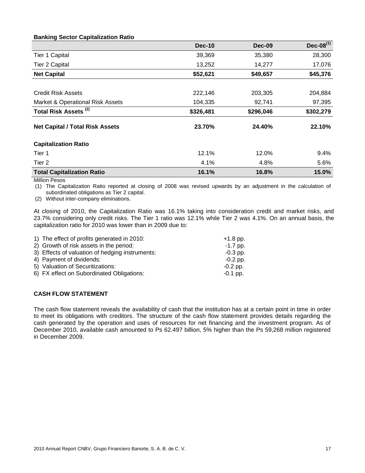|                                        | <b>Dec-10</b> | <b>Dec-09</b> | Dec-08 $^{(1)}$ |
|----------------------------------------|---------------|---------------|-----------------|
| Tier 1 Capital                         | 39,369        | 35,380        | 28,300          |
| <b>Tier 2 Capital</b>                  | 13,252        | 14,277        | 17,076          |
| <b>Net Capital</b>                     | \$52,621      | \$49,657      | \$45,376        |
|                                        |               |               |                 |
| <b>Credit Risk Assets</b>              | 222,146       | 203,305       | 204,884         |
| Market & Operational Risk Assets       | 104,335       | 92,741        | 97,395          |
| Total Risk Assets <sup>(2)</sup>       | \$326,481     | \$296,046     | \$302,279       |
| <b>Net Capital / Total Risk Assets</b> | 23.70%        | 24.40%        | 22.10%          |
| <b>Capitalization Ratio</b>            |               |               |                 |
| Tier 1                                 | 12.1%         | 12.0%         | 9.4%            |
| Tier 2                                 | 4.1%          | 4.8%          | 5.6%            |
| <b>Total Capitalization Ratio</b>      | 16.1%         | 16.8%         | 15.0%           |

## **Banking Sector Capitalization Ratio**

Million Pesos

(1) The Capitalization Ratio reported at closing of 2008 was revised upwards by an adjustment in the calculation of subordinated obligations as Tier 2 capital.

(2) Without inter-company eliminations.

At closing of 2010, the Capitalization Ratio was 16.1% taking into consideration credit and market risks, and 23.7% considering only credit risks. The Tier 1 ratio was 12.1% while Tier 2 was 4.1%. On an annual basis, the capitalization ratio for 2010 was lower than in 2009 due to:

| 1) The effect of profits generated in 2010:     | $+1.8$ pp. |
|-------------------------------------------------|------------|
| 2) Growth of risk assets in the period:         | $-1.7$ pp. |
| 3) Effects of valuation of hedging instruments: | $-0.3$ pp. |
| 4) Payment of dividends:                        | $-0.2$ pp. |
| 5) Valuation of Securitizations:                | $-0.2$ pp. |
| 6) FX effect on Subordinated Obligations:       | $-0.1$ pp. |

## **CASH FLOW STATEMENT**

The cash flow statement reveals the availability of cash that the institution has at a certain point in time in order to meet its obligations with creditors. The structure of the cash flow statement provides details regarding the cash generated by the operation and uses of resources for net financing and the investment program. As of December 2010, available cash amounted to Ps 62.497 billion, 5% higher than the Ps 59,268 million registered in December 2009.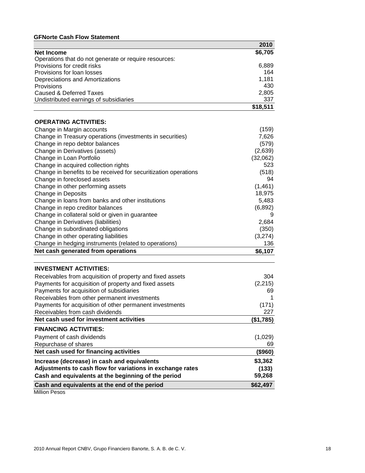## **GFNorte Cash Flow Statement**

|                                                                 | 2010          |
|-----------------------------------------------------------------|---------------|
| <b>Net Income</b>                                               | \$6,705       |
| Operations that do not generate or require resources:           |               |
| Provisions for credit risks                                     | 6,889         |
| Provisions for loan losses                                      | 164           |
| Depreciations and Amortizations                                 | 1,181         |
| Provisions                                                      | 430           |
| <b>Caused &amp; Deferred Taxes</b>                              | 2,805         |
| Undistributed earnings of subsidiaries                          | 337           |
|                                                                 | \$18,511      |
| <b>OPERATING ACTIVITIES:</b>                                    |               |
| Change in Margin accounts                                       | (159)         |
| Change in Treasury operations (investments in securities)       | 7,626         |
| Change in repo debtor balances                                  | (579)         |
| Change in Derivatives (assets)                                  | (2,639)       |
| Change in Loan Portfolio                                        | (32,062)      |
| Change in acquired collection rights                            | 523           |
|                                                                 | (518)         |
| Change in benefits to be received for securitization operations | 94            |
| Change in foreclosed assets                                     |               |
| Change in other performing assets                               | (1,461)       |
| Change in Deposits                                              | 18,975        |
| Change in loans from banks and other institutions               | 5,483         |
| Change in repo creditor balances                                | (6,892)       |
| Change in collateral sold or given in guarantee                 | 9             |
| Change in Derivatives (liabilities)                             | 2,684         |
| Change in subordinated obligations                              | (350)         |
| Change in other operating liabilities                           | (3,274)       |
| Change in hedging instruments (related to operations)           | 136           |
| Net cash generated from operations                              | \$6,107       |
| <b>INVESTMENT ACTIVITIES:</b>                                   |               |
| Receivables from acquisition of property and fixed assets       | 304           |
| Payments for acquisition of property and fixed assets           | (2, 215)      |
| Payments for acquisition of subsidiaries                        | 69            |
| Receivables from other permanent investments                    |               |
| Payments for acquisition of other permanent investments         | (171)         |
| Receivables from cash dividends                                 | 227           |
| Net cash used for investment activities                         | (\$1,785)     |
| <b>FINANCING ACTIVITIES:</b>                                    |               |
| Payment of cash dividends                                       | (1,029)       |
| Repurchase of shares                                            |               |
| Net cash used for financing activities                          | 69<br>(\$960) |
|                                                                 |               |
| Increase (decrease) in cash and equivalents                     | \$3,362       |
| Adjustments to cash flow for variations in exchange rates       | (133)         |
| Cash and equivalents at the beginning of the period             | 59,268        |
| Cash and equivalents at the end of the period                   | \$62,497      |
| Million Pesos                                                   |               |

2010 Annual Report CNBV, Grupo Financiero Banorte, S. A. B. de C. V. 18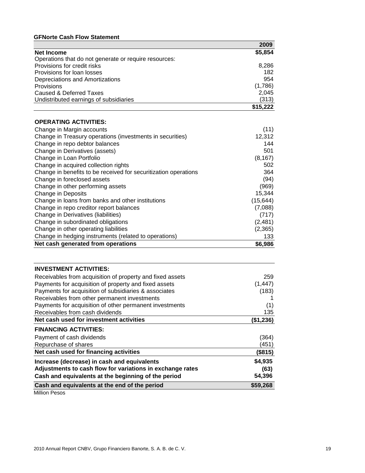## **GFNorte Cash Flow Statement**

|                                                                 | 2009      |
|-----------------------------------------------------------------|-----------|
| <b>Net Income</b>                                               | \$5,854   |
| Operations that do not generate or require resources:           |           |
| Provisions for credit risks                                     | 8,286     |
| Provisions for loan losses                                      | 182       |
| Depreciations and Amortizations                                 | 954       |
| Provisions                                                      | (1,786)   |
| Caused & Deferred Taxes                                         | 2,045     |
| Undistributed earnings of subsidiaries                          | (313)     |
|                                                                 | \$15,222  |
|                                                                 |           |
| <b>OPERATING ACTIVITIES:</b>                                    |           |
| Change in Margin accounts                                       | (11)      |
| Change in Treasury operations (investments in securities)       | 12,312    |
| Change in repo debtor balances                                  | 144       |
| Change in Derivatives (assets)                                  | 501       |
| Change in Loan Portfolio                                        | (8, 167)  |
| Change in acquired collection rights                            | 502       |
| Change in benefits to be received for securitization operations | 364       |
| Change in foreclosed assets                                     | (94)      |
| Change in other performing assets                               | (969)     |
| Change in Deposits                                              | 15,344    |
| Change in loans from banks and other institutions               | (15, 644) |
| Change in repo creditor report balances                         | (7,088)   |
| Change in Derivatives (liabilities)                             | (717)     |
| Change in subordinated obligations                              | (2,481)   |
| Change in other operating liabilities                           | (2,365)   |
| Change in hedging instruments (related to operations)           | 133       |
| Net cash generated from operations                              | \$6,986   |
|                                                                 |           |
|                                                                 |           |
| <b>INVESTMENT ACTIVITIES:</b>                                   |           |

| Receivables from acquisition of property and fixed assets | 259       |
|-----------------------------------------------------------|-----------|
| Payments for acquisition of property and fixed assets     | (1, 447)  |
| Payments for acquisition of subsidiaries & associates     | (183)     |
| Receivables from other permanent investments              |           |
| Payments for acquisition of other permanent investments   | (1)       |
| Receivables from cash dividends                           | 135       |
| Net cash used for investment activities                   | (\$1,236) |
| <b>FINANCING ACTIVITIES:</b>                              |           |
| Payment of cash dividends                                 | (364)     |
| Repurchase of shares                                      | (451)     |
| Net cash used for financing activities                    | (\$815)   |
| Increase (decrease) in cash and equivalents               | \$4,935   |
| Adjustments to cash flow for variations in exchange rates | (63)      |
| Cash and equivalents at the beginning of the period       | 54,396    |
| Cash and equivalents at the end of the period             | \$59,268  |
|                                                           |           |

Million Pesos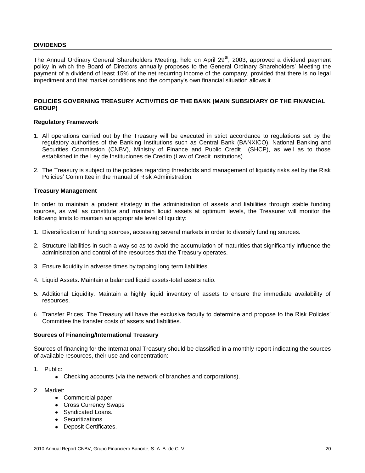## **DIVIDENDS**

The Annual Ordinary General Shareholders Meeting, held on April 29<sup>th</sup>, 2003, approved a dividend payment policy in which the Board of Directors annually proposes to the General Ordinary Shareholders' Meeting the payment of a dividend of least 15% of the net recurring income of the company, provided that there is no legal impediment and that market conditions and the company's own financial situation allows it.

## **POLICIES GOVERNING TREASURY ACTIVITIES OF THE BANK (MAIN SUBSIDIARY OF THE FINANCIAL GROUP)**

#### **Regulatory Framework**

- 1. All operations carried out by the Treasury will be executed in strict accordance to regulations set by the regulatory authorities of the Banking Institutions such as Central Bank (BANXICO), National Banking and Securities Commission (CNBV), Ministry of Finance and Public Credit (SHCP), as well as to those established in the Ley de Instituciones de Credito (Law of Credit Institutions).
- 2. The Treasury is subject to the policies regarding thresholds and management of liquidity risks set by the Risk Policies' Committee in the manual of Risk Administration.

## **Treasury Management**

In order to maintain a prudent strategy in the administration of assets and liabilities through stable funding sources, as well as constitute and maintain liquid assets at optimum levels, the Treasurer will monitor the following limits to maintain an appropriate level of liquidity:

- 1. Diversification of funding sources, accessing several markets in order to diversify funding sources.
- 2. Structure liabilities in such a way so as to avoid the accumulation of maturities that significantly influence the administration and control of the resources that the Treasury operates.
- 3. Ensure liquidity in adverse times by tapping long term liabilities.
- 4. Liquid Assets. Maintain a balanced liquid assets-total assets ratio.
- 5. Additional Liquidity. Maintain a highly liquid inventory of assets to ensure the immediate availability of resources.
- 6. Transfer Prices. The Treasury will have the exclusive faculty to determine and propose to the Risk Policies' Committee the transfer costs of assets and liabilities.

### **Sources of Financing/International Treasury**

Sources of financing for the International Treasury should be classified in a monthly report indicating the sources of available resources, their use and concentration:

- 1. Public:
	- Checking accounts (via the network of branches and corporations).
- 2. Market:
	- Commercial paper.
	- Cross Currency Swaps
	- Syndicated Loans.
	- Securitizations
	- Deposit Certificates.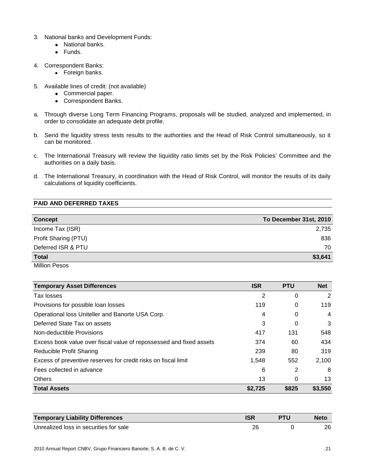- 3. National banks and Development Funds:
	- National banks.
	- Funds.
- 4. Correspondent Banks:
	- Foreign banks.
- 5. Available lines of credit: (not available)
	- Commercial paper.
	- Correspondent Banks.
- a. Through diverse Long Term Financing Programs, proposals will be studied, analyzed and implemented, in order to consolidate an adequate debt profile.
- b. Send the liquidity stress tests results to the authorities and the Head of Risk Control simultaneously, so it can be monitored.
- c. The International Treasury will review the liquidity ratio limits set by the Risk Policies' Committee and the authorities on a daily basis.
- d. The International Treasury, in coordination with the Head of Risk Control, will monitor the results of its daily calculations of liquidity coefficients.

## **PAID AND DEFERRED TAXES**

| <b>Concept</b>       | To December 31st, 2010 |
|----------------------|------------------------|
| Income Tax (ISR)     | 2,735                  |
| Profit Sharing (PTU) | 836                    |
| Deferred ISR & PTU   | 70                     |
| <b>Total</b>         | \$3,641                |

Million Pesos

| <b>Temporary Asset Differences</b>                                  | <b>ISR</b> | <b>PTU</b> | <b>Net</b>     |
|---------------------------------------------------------------------|------------|------------|----------------|
| Tax losses                                                          | 2          | 0          | 2              |
| Provisions for possible loan losses                                 | 119        | 0          | 119            |
| Operational loss Uniteller and Banorte USA Corp.                    | 4          | 0          | $\overline{4}$ |
| Deferred State Tax on assets                                        | 3          | 0          | 3              |
| Non-deductible Provisions                                           | 417        | 131        | 548            |
| Excess book value over fiscal value of repossessed and fixed assets | 374        | 60         | 434            |
| Reducible Profit Sharing                                            | 239        | 80         | 319            |
| Excess of preventive reserves for credit risks on fiscal limit      | 1.548      | 552        | 2,100          |
| Fees collected in advance                                           | 6          | 2          | 8              |
| <b>Others</b>                                                       | 13         | 0          | 13             |
| <b>Total Assets</b>                                                 | \$2,725    | \$825      | \$3,550        |

| <b>Temporary Liability Differences</b> |  | <b>Neto</b> |
|----------------------------------------|--|-------------|
| Unrealized loss in securities for sale |  | 26          |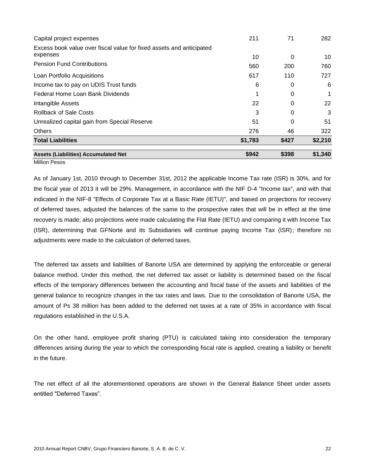| Capital project expenses                                                         | 211     | 71    | 282     |
|----------------------------------------------------------------------------------|---------|-------|---------|
| Excess book value over fiscal value for fixed assets and anticipated<br>expenses |         |       |         |
| <b>Pension Fund Contributions</b>                                                | 10      | 0     | 10      |
|                                                                                  | 560     | 200   | 760     |
| Loan Portfolio Acquisitions                                                      | 617     | 110   | 727     |
| Income tax to pay on UDIS Trust funds                                            | 6       | 0     | 6       |
| Federal Home Loan Bank Dividends                                                 |         | 0     |         |
| Intangible Assets                                                                | 22      | 0     | 22      |
| <b>Rollback of Sale Costs</b>                                                    | 3       | 0     | 3       |
| Unrealized capital gain from Special Reserve                                     | 51      | 0     | 51      |
| <b>Others</b>                                                                    | 276     | 46    | 322     |
| <b>Total Liabilities</b>                                                         | \$1,783 | \$427 | \$2,210 |
| <b>Assets (Liabilities) Accumulated Net</b>                                      | \$942   | \$398 | \$1,340 |

Million Pesos

As of January 1st, 2010 through to December 31st, 2012 the applicable Income Tax rate (ISR) is 30%, and for the fiscal year of 2013 it will be 29%. Management, in accordance with the NIF D-4 "Income tax", and with that indicated in the NIF-8 "Effects of Corporate Tax at a Basic Rate (IETU)", and based on projections for recovery of deferred taxes, adjusted the balances of the same to the prospective rates that will be in effect at the time recovery is made; also projections were made calculating the Flat Rate (IETU) and comparing it with Income Tax (ISR), determining that GFNorte and its Subsidiaries will continue paying Income Tax (ISR); therefore no adjustments were made to the calculation of deferred taxes.

The deferred tax assets and liabilities of Banorte USA are determined by applying the enforceable or general balance method. Under this method, the net deferred tax asset or liability is determined based on the fiscal effects of the temporary differences between the accounting and fiscal base of the assets and liabilities of the general balance to recognize changes in the tax rates and laws. Due to the consolidation of Banorte USA, the amount of Ps 38 million has been added to the deferred net taxes at a rate of 35% in accordance with fiscal regulations established in the U.S.A.

On the other hand, employee profit sharing (PTU) is calculated taking into consideration the temporary differences arising during the year to which the corresponding fiscal rate is applied, creating a liability or benefit in the future.

The net effect of all the aforementioned operations are shown in the General Balance Sheet under assets entitled "Deferred Taxes".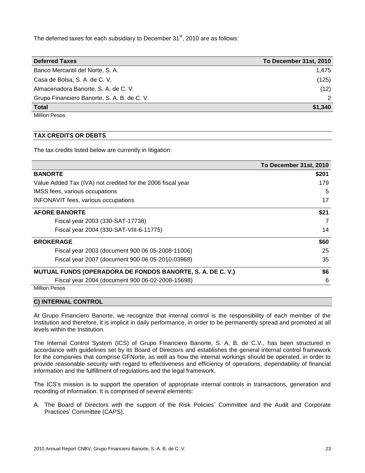The deferred taxes for each subsidiary to December  $31<sup>st</sup>$ , 2010 are as follows:

| <b>Deferred Taxes</b>                       | To December 31st, 2010 |
|---------------------------------------------|------------------------|
| Banco Mercantil del Norte, S. A.            | 1.475                  |
| Casa de Bolsa, S. A. de C. V.               | (125)                  |
| Almacenadora Banorte, S. A. de C. V.        | (12)                   |
| Grupo Financiero Banorte, S. A. B. de C. V. |                        |
| <b>Total</b>                                | \$1,340                |

Million Pesos

## **TAX CREDITS OR DEBTS**

The tax credits listed below are currently in litigation:

|                                                                   | To December 31st, 2010 |
|-------------------------------------------------------------------|------------------------|
| <b>BANORTE</b>                                                    | \$201                  |
| Value Added Tax (IVA) not credited for the 2006 fiscal year       | 179                    |
| IMSS fees, various occupations                                    | 5                      |
| INFONAVIT fees, various occupations                               | 17                     |
| <b>AFORE BANORTE</b>                                              | \$21                   |
| Fiscal year 2003 (330-SAT-17738)                                  |                        |
| Fiscal year 2004 (330-SAT-VIII-6-11775)                           | 14                     |
| <b>BROKERAGE</b>                                                  | \$60                   |
| Fiscal year 2003 (document 900 06 05-2008-11006)                  | 25                     |
| Fiscal year 2007 (document 900 06 05-2010-03968)                  | 35                     |
| <b>MUTUAL FUNDS (OPERADORA DE FONDOS BANORTE, S. A. DE C. V.)</b> | \$6                    |
| Fiscal year 2004 (document 900 06-02-2008-15698)                  | 6                      |
| <b>Million Pesos</b>                                              |                        |

#### **C) INTERNAL CONTROL**

At Grupo Financiero Banorte, we recognize that internal control is the responsibility of each member of the Institution and therefore, it is implicit in daily performance, in order to be permanently spread and promoted at all levels within the Institution.

The Internal Control System (ICS) of Grupo Financiero Banorte, S. A. B. de C.V., has been structured in accordance with guidelines set by its Board of Directors and establishes the general internal control framework for the companies that comprise GFNorte, as well as how the internal workings should be operated, in order to provide reasonable security with regard to effectiveness and efficiency of operations, dependability of financial information and the fulfillment of regulations and the legal framework.

The ICS's mission is to support the operation of appropriate internal controls in transactions, generation and recording of information. It is comprised of several elements:

A. The Board of Directors with the support of the Risk Policies' Committee and the Audit and Corporate Practices' Committee (CAPS).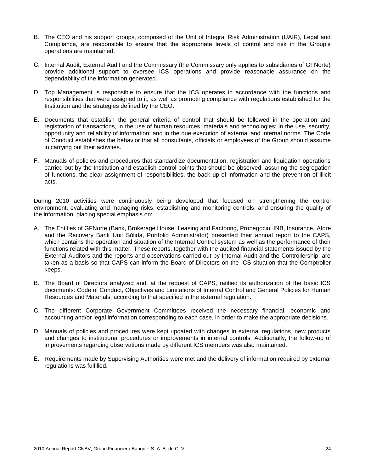- B. The CEO and his support groups, comprised of the Unit of Integral Risk Administration (UAIR), Legal and Compliance, are responsible to ensure that the appropriate levels of control and risk in the Group's operations are maintained.
- C. Internal Audit, External Audit and the Commissary (the Commissary only applies to subsidiaries of GFNorte) provide additional support to oversee ICS operations and provide reasonable assurance on the dependability of the information generated.
- D. Top Management is responsible to ensure that the ICS operates in accordance with the functions and responsibilities that were assigned to it, as well as promoting compliance with regulations established for the Institution and the strategies defined by the CEO.
- E. Documents that establish the general criteria of control that should be followed in the operation and registration of transactions, in the use of human resources, materials and technologies; in the use, security, opportunity and reliability of information; and in the due execution of external and internal norms. The Code of Conduct establishes the behavior that all consultants, officials or employees of the Group should assume in carrying out their activities.
- F. Manuals of policies and procedures that standardize documentation, registration and liquidation operations carried out by the Institution and establish control points that should be observed, assuring the segregation of functions, the clear assignment of responsibilities, the back-up of information and the prevention of illicit acts.

During 2010 activities were continuously being developed that focused on strengthening the control environment, evaluating and managing risks, establishing and monitoring controls, and ensuring the quality of the information; placing special emphasis on:

- A. The Entities of GFNorte (Bank, Brokerage House, Leasing and Factoring, Pronegocio, INB, Insurance, Afore and the Recovery Bank Unit Sólida, Portfolio Administrator) presented their annual report to the CAPS, which contains the operation and situation of the Internal Control system as well as the performance of their functions related with this matter. These reports, together with the audited financial statements issued by the External Auditors and the reports and observations carried out by Internal Audit and the Controllership, are taken as a basis so that CAPS can inform the Board of Directors on the ICS situation that the Comptroller keeps.
- B. The Board of Directors analyzed and, at the request of CAPS, ratified its authorization of the basic ICS documents: Code of Conduct, Objectives and Limitations of Internal Control and General Policies for Human Resources and Materials, according to that specified in the external regulation.
- C. The different Corporate Government Committees received the necessary financial, economic and accounting and/or legal information corresponding to each case, in order to make the appropriate decisions.
- D. Manuals of policies and procedures were kept updated with changes in external regulations, new products and changes to institutional procedures or improvements in internal controls. Additionally, the follow-up of improvements regarding observations made by different ICS members was also maintained.
- E. Requirements made by Supervising Authorities were met and the delivery of information required by external regulations was fulfilled.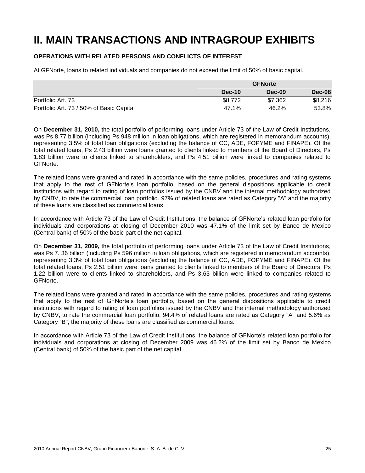## **II. MAIN TRANSACTIONS AND INTRAGROUP EXHIBITS**

## **OPERATIONS WITH RELATED PERSONS AND CONFLICTS OF INTEREST**

At GFNorte, loans to related individuals and companies do not exceed the limit of 50% of basic capital.

|                                          | <b>GFNorte</b> |         |         |
|------------------------------------------|----------------|---------|---------|
|                                          | Dec-10         | Dec-09  | Dec-08  |
| Portfolio Art. 73                        | \$8,772        | \$7,362 | \$8,216 |
| Portfolio Art. 73 / 50% of Basic Capital | 47.1%          | 46.2%   | 53.8%   |

On **December 31, 2010,** the total portfolio of performing loans under Article 73 of the Law of Credit Institutions, was Ps 8.77 billion (including Ps 948 million in loan obligations, which are registered in memorandum accounts), representing 3.5% of total loan obligations (excluding the balance of CC, ADE, FOPYME and FINAPE). Of the total related loans, Ps 2.43 billion were loans granted to clients linked to members of the Board of Directors, Ps 1.83 billion were to clients linked to shareholders, and Ps 4.51 billion were linked to companies related to GFNorte.

The related loans were granted and rated in accordance with the same policies, procedures and rating systems that apply to the rest of GFNorte's loan portfolio, based on the general dispositions applicable to credit institutions with regard to rating of loan portfolios issued by the CNBV and the internal methodology authorized by CNBV, to rate the commercial loan portfolio. 97% of related loans are rated as Category "A" and the majority of these loans are classified as commercial loans.

In accordance with Article 73 of the Law of Credit Institutions, the balance of GFNorte's related loan portfolio for individuals and corporations at closing of December 2010 was 47.1% of the limit set by Banco de Mexico (Central bank) of 50% of the basic part of the net capital.

On **December 31, 2009,** the total portfolio of performing loans under Article 73 of the Law of Credit Institutions, was Ps 7. 36 billion (including Ps 596 million in loan obligations, which are registered in memorandum accounts), representing 3.3% of total loan obligations (excluding the balance of CC, ADE, FOPYME and FINAPE). Of the total related loans, Ps 2.51 billion were loans granted to clients linked to members of the Board of Directors, Ps 1.22 billion were to clients linked to shareholders, and Ps 3.63 billion were linked to companies related to GFNorte.

The related loans were granted and rated in accordance with the same policies, procedures and rating systems that apply to the rest of GFNorte's loan portfolio, based on the general dispositions applicable to credit institutions with regard to rating of loan portfolios issued by the CNBV and the internal methodology authorized by CNBV, to rate the commercial loan portfolio. 94.4% of related loans are rated as Category "A" and 5.6% as Category "B", the majority of these loans are classified as commercial loans.

In accordance with Article 73 of the Law of Credit Institutions, the balance of GFNorte's related loan portfolio for individuals and corporations at closing of December 2009 was 46.2% of the limit set by Banco de Mexico (Central bank) of 50% of the basic part of the net capital.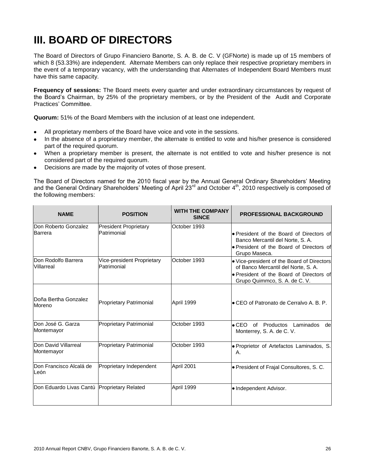## **III. BOARD OF DIRECTORS**

The Board of Directors of Grupo Financiero Banorte, S. A. B. de C. V (GFNorte) is made up of 15 members of which 8 (53.33%) are independent. Alternate Members can only replace their respective proprietary members in the event of a temporary vacancy, with the understanding that Alternates of Independent Board Members must have this same capacity.

**Frequency of sessions:** The Board meets every quarter and under extraordinary circumstances by request of the Board's Chairman, by 25% of the proprietary members, or by the President of the Audit and Corporate Practices' Committee.

**Quorum:** 51% of the Board Members with the inclusion of at least one independent.

- All proprietary members of the Board have voice and vote in the sessions.
- In the absence of a proprietary member, the alternate is entitled to vote and his/her presence is considered  $\bullet$ part of the required quorum.
- When a proprietary member is present, the alternate is not entitled to vote and his/her presence is not considered part of the required quorum.
- Decisions are made by the majority of votes of those present.

The Board of Directors named for the 2010 fiscal year by the Annual General Ordinary Shareholders' Meeting and the General Ordinary Shareholders' Meeting of April 23<sup>rd</sup> and October 4<sup>th</sup>, 2010 respectively is composed of the following members:

| <b>NAME</b>                                      | <b>POSITION</b>                             | <b>WITH THE COMPANY</b><br><b>SINCE</b> | <b>PROFESSIONAL BACKGROUND</b>                                                                                                                                 |
|--------------------------------------------------|---------------------------------------------|-----------------------------------------|----------------------------------------------------------------------------------------------------------------------------------------------------------------|
| Don Roberto Gonzalez<br><b>Barrera</b>           | <b>President Proprietary</b><br>Patrimonial | October 1993                            | • President of the Board of Directors of<br>Banco Mercantil del Norte, S. A.<br>• President of the Board of Directors of<br>Grupo Maseca.                      |
| Don Rodolfo Barrera<br>Villarreal                | Vice-president Proprietary<br>Patrimonial   | October 1993                            | • Vice-president of the Board of Directors<br>of Banco Mercantil del Norte, S. A.<br>. President of the Board of Directors of<br>Grupo Quimmco, S. A. de C. V. |
| IDoña Bertha Gonzalez<br>Moreno                  | Proprietary Patrimonial                     | April 1999                              | • CEO of Patronato de Cerralvo A. B. P.                                                                                                                        |
| IDon José G. Garza<br>Montemayor                 | <b>Proprietary Patrimonial</b>              | October 1993                            | • CEO of Productos Laminados<br>del<br>Monterrey, S. A. de C. V.                                                                                               |
| Don David Villarreal<br>Montemayor               | <b>Proprietary Patrimonial</b>              | October 1993                            | · Proprietor of Artefactos Laminados, S.<br>А.                                                                                                                 |
| <b>IDon Francisco Alcalá de</b><br><b>I</b> León | Proprietary Independent                     | April 2001                              | • President of Frajal Consultores, S. C.                                                                                                                       |
| Don Eduardo Livas Cantú Proprietary Related      |                                             | April 1999                              | • Independent Advisor.                                                                                                                                         |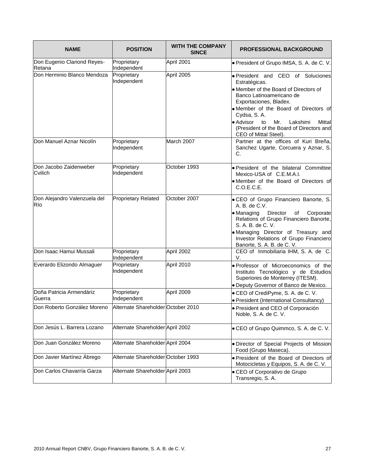| <b>NAME</b>                           | <b>POSITION</b>                    | <b>WITH THE COMPANY</b><br><b>SINCE</b> | <b>PROFESSIONAL BACKGROUND</b>                                                                                                                                                                                                                                                                        |
|---------------------------------------|------------------------------------|-----------------------------------------|-------------------------------------------------------------------------------------------------------------------------------------------------------------------------------------------------------------------------------------------------------------------------------------------------------|
| Don Eugenio Clariond Reyes-<br>Retana | Proprietary<br>Independent         | April 2001                              | · President of Grupo IMSA, S. A. de C. V.                                                                                                                                                                                                                                                             |
| Don Herminio Blanco Mendoza           | Proprietary<br>Independent         | April 2005                              | · President and CEO of Soluciones<br>Estratégicas.<br>• Member of the Board of Directors of<br>Banco Latinoamericano de<br>Exportaciones, Bladex.<br>. Member of the Board of Directors of<br>Cydsa, S.A.<br>• Advisor<br>Mr.<br>to<br>Lakshimi<br>Mittal<br>(President of the Board of Directors and |
| Don Manuel Aznar Nicolín              | Proprietary<br>Independent         | March 2007                              | CEO of Mittal Steel).<br>Partner at the offices of Kuri Breña,<br>Sanchez Ugarte, Corcuera y Aznar, S.<br>C.                                                                                                                                                                                          |
| Don Jacobo Zaidenweber<br>Cvilich     | Proprietary<br>Independent         | October 1993                            | . President of the bilateral Committee<br>Mexico-USA of C.E.M.A.I.<br>• Member of the Board of Directors of<br>C.O.E.C.E.                                                                                                                                                                             |
| Don Alejandro Valenzuela del<br>Río   | <b>Proprietary Related</b>         | October 2007                            | · CEO of Grupo Financiero Banorte, S.<br>A. B. de C.V.<br>• Managing<br>Director<br>of<br>Corporate<br>Relations of Grupo Financiero Banorte,<br>S. A. B. de C. V.<br>. Managing Director of Treasury and<br>Investor Relations of Grupo Financiero<br>Banorte, S. A. B. de C. V.                     |
| Don Isaac Hamui Mussali               | Proprietary<br>Independent         | April 2002                              | CEO of Inmobiliaria IHM, S. A. de C.<br>V.                                                                                                                                                                                                                                                            |
| Everardo Elizondo Almaguer            | Proprietary<br>Independent         | April 2010                              | · Professor of Microeconomics of the<br>Instituto Tecnológico y de Estudios<br>Superiores de Monterrey (ITESM).<br>· Deputy Governor of Banco de Mexico.                                                                                                                                              |
| Doña Patricia Armendáriz<br>Guerra    | Proprietary<br>Independent         | April 2009                              | • CEO of CrediPyme, S. A. de C. V.<br>· President (International Consultancy)                                                                                                                                                                                                                         |
| Don Roberto González Moreno           | Alternate Shareholder October 2010 |                                         | President and CEO of Corporación<br>Noble, S. A. de C. V.                                                                                                                                                                                                                                             |
| Don Jesús L. Barrera Lozano           | Alternate Shareholder April 2002   |                                         | · CEO of Grupo Quimmco, S. A. de C. V.                                                                                                                                                                                                                                                                |
| Don Juan González Moreno              | Alternate Shareholder April 2004   |                                         | · Director of Special Projects of Mission<br>Food (Grupo Maseca).                                                                                                                                                                                                                                     |
| Don Javier Martínez Ábrego            | Alternate Shareholder October 1993 |                                         | · President of the Board of Directors of<br>Motocicletas y Equipos, S. A. de C. V.                                                                                                                                                                                                                    |
| Don Carlos Chavarría Garza            | Alternate Shareholder April 2003   |                                         | • CEO of Corporativo de Grupo<br>Transregio, S. A.                                                                                                                                                                                                                                                    |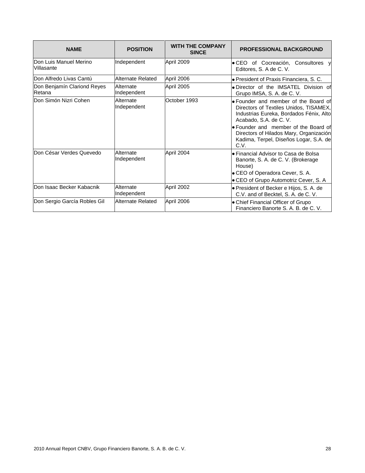| <b>NAME</b>                           | <b>POSITION</b>          | <b>WITH THE COMPANY</b><br><b>SINCE</b> | <b>PROFESSIONAL BACKGROUND</b>                                                                                                                                                                                                                                                           |
|---------------------------------------|--------------------------|-----------------------------------------|------------------------------------------------------------------------------------------------------------------------------------------------------------------------------------------------------------------------------------------------------------------------------------------|
| Don Luis Manuel Merino<br>Villasante  | Independent              | April 2009                              | · CEO of Cocreación, Consultores y<br>Editores, S. A de C. V.                                                                                                                                                                                                                            |
| lDon Alfredo Livas Cantú              | Alternate Related        | April 2006                              | • President of Praxis Financiera, S. C.                                                                                                                                                                                                                                                  |
| Don Benjamín Clariond Reyes<br>Retana | Alternate<br>Independent | April 2005                              | . Director of the IMSATEL Division of<br>Grupo IMSA, S. A. de C. V.                                                                                                                                                                                                                      |
| lDon Simón Nizri Cohen                | Alternate<br>Independent | October 1993                            | • Founder and member of the Board of<br>Directors of Textiles Unidos, TISAMEX,<br>Industrias Eureka, Bordados Fénix, Alto<br>Acabado, S.A. de C. V.<br>• Founder and member of the Board of<br>Directors of Hilados Mary, Organización<br>Kadima, Terpel, Diseños Logar, S.A. de<br>C.V. |
| lDon César Verdes Quevedo             | Alternate<br>Independent | April 2004                              | • Financial Advisor to Casa de Bolsa<br>Banorte, S. A. de C. V. (Brokerage<br>House)<br>• CEO of Operadora Cever, S. A.<br>• CEO of Grupo Automotriz Cever, S. A                                                                                                                         |
| Don Isaac Becker Kabacnik             | Alternate<br>Independent | April 2002                              | • President of Becker e Hijos, S. A. de<br>C.V. and of Becktel, S. A. de C. V.                                                                                                                                                                                                           |
| Don Sergio García Robles Gil          | Alternate Related        | April 2006                              | • Chief Financial Officer of Grupo<br>Financiero Banorte S. A. B. de C. V.                                                                                                                                                                                                               |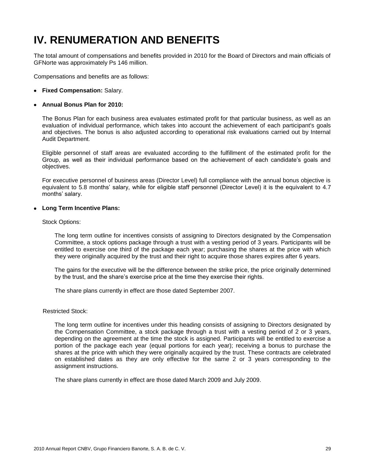## **IV. RENUMERATION AND BENEFITS**

The total amount of compensations and benefits provided in 2010 for the Board of Directors and main officials of GFNorte was approximately Ps 146 million.

Compensations and benefits are as follows:

**Fixed Compensation:** Salary.

### **Annual Bonus Plan for 2010:**

The Bonus Plan for each business area evaluates estimated profit for that particular business, as well as an evaluation of individual performance, which takes into account the achievement of each participant's goals and objectives. The bonus is also adjusted according to operational risk evaluations carried out by Internal Audit Department.

Eligible personnel of staff areas are evaluated according to the fulfillment of the estimated profit for the Group, as well as their individual performance based on the achievement of each candidate's goals and objectives.

For executive personnel of business areas (Director Level) full compliance with the annual bonus objective is equivalent to 5.8 months' salary, while for eligible staff personnel (Director Level) it is the equivalent to 4.7 months' salary.

#### **Long Term Incentive Plans:**

#### Stock Options:

The long term outline for incentives consists of assigning to Directors designated by the Compensation Committee, a stock options package through a trust with a vesting period of 3 years. Participants will be entitled to exercise one third of the package each year; purchasing the shares at the price with which they were originally acquired by the trust and their right to acquire those shares expires after 6 years.

The gains for the executive will be the difference between the strike price, the price originally determined by the trust, and the share's exercise price at the time they exercise their rights.

The share plans currently in effect are those dated September 2007.

#### Restricted Stock:

The long term outline for incentives under this heading consists of assigning to Directors designated by the Compensation Committee, a stock package through a trust with a vesting period of 2 or 3 years, depending on the agreement at the time the stock is assigned. Participants will be entitled to exercise a portion of the package each year (equal portions for each year); receiving a bonus to purchase the shares at the price with which they were originally acquired by the trust. These contracts are celebrated on established dates as they are only effective for the same 2 or 3 years corresponding to the assignment instructions.

The share plans currently in effect are those dated March 2009 and July 2009.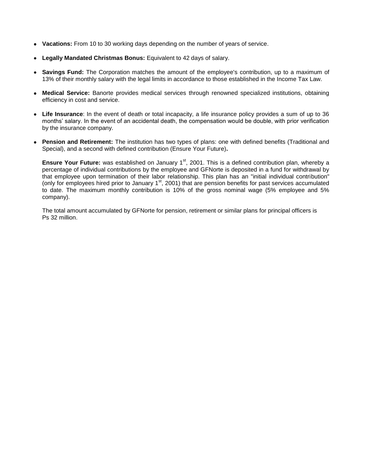- **Vacations:** From 10 to 30 working days depending on the number of years of service.
- **Legally Mandated Christmas Bonus:** Equivalent to 42 days of salary.
- **Savings Fund:** The Corporation matches the amount of the employee's contribution, up to a maximum of 13% of their monthly salary with the legal limits in accordance to those established in the Income Tax Law.
- **Medical Service:** Banorte provides medical services through renowned specialized institutions, obtaining  $\bullet$ efficiency in cost and service.
- **Life Insurance**: In the event of death or total incapacity, a life insurance policy provides a sum of up to 36 months' salary. In the event of an accidental death, the compensation would be double, with prior verification by the insurance company.
- **Pension and Retirement:** The institution has two types of plans: one with defined benefits (Traditional and Special), and a second with defined contribution (Ensure Your Future)**.**

**Ensure Your Future:** was established on January 1<sup>st</sup>, 2001. This is a defined contribution plan, whereby a percentage of individual contributions by the employee and GFNorte is deposited in a fund for withdrawal by that employee upon termination of their labor relationship. This plan has an "initial individual contribution" (only for employees hired prior to January 1<sup>st</sup>, 2001) that are pension benefits for past services accumulated to date. The maximum monthly contribution is 10% of the gross nominal wage (5% employee and 5% company).

The total amount accumulated by GFNorte for pension, retirement or similar plans for principal officers is Ps 32 million.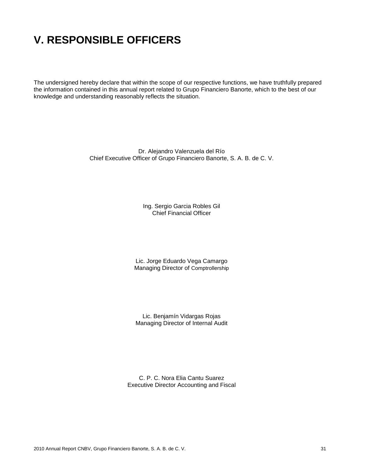## **V. RESPONSIBLE OFFICERS**

The undersigned hereby declare that within the scope of our respective functions, we have truthfully prepared the information contained in this annual report related to Grupo Financiero Banorte, which to the best of our knowledge and understanding reasonably reflects the situation.

> Dr. Alejandro Valenzuela del Río Chief Executive Officer of Grupo Financiero Banorte, S. A. B. de C. V.

> > Ing. Sergio Garcia Robles Gil Chief Financial Officer

Lic. Jorge Eduardo Vega Camargo Managing Director of Comptrollership

Lic. Benjamín Vidargas Rojas Managing Director of Internal Audit

C. P. C. Nora Elia Cantu Suarez Executive Director Accounting and Fiscal